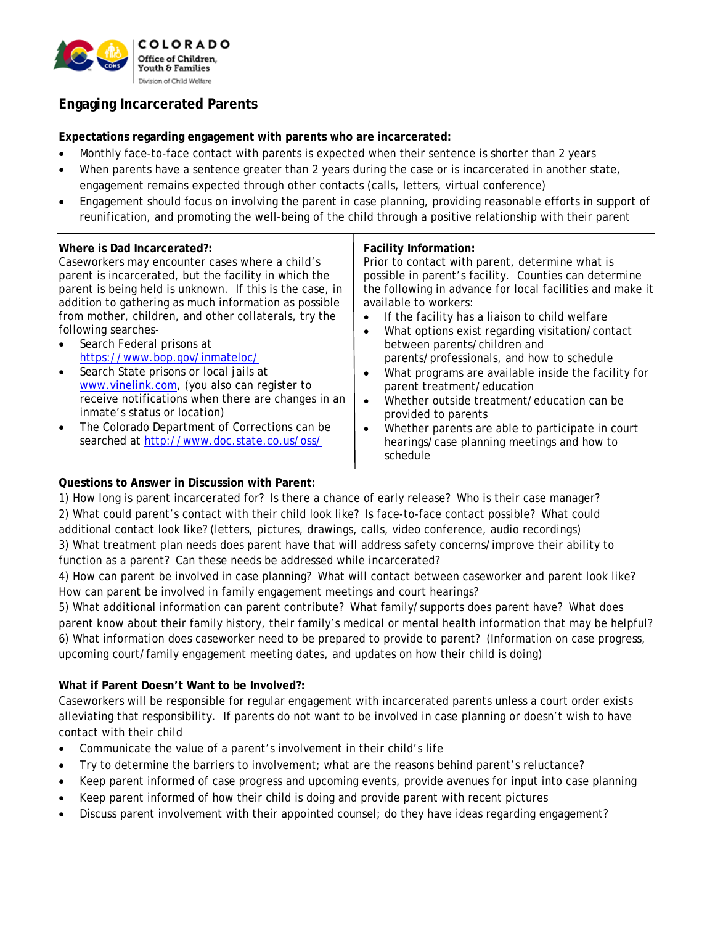

# **Engaging Incarcerated Parents**

**Expectations regarding engagement with parents who are incarcerated:**

- Monthly face-to-face contact with parents is expected when their sentence is shorter than 2 years
- When parents have a sentence greater than 2 years during the case or is incarcerated in another state, engagement remains expected through other contacts (calls, letters, virtual conference)
- Engagement should focus on involving the parent in case planning, providing reasonable efforts in support of reunification, and promoting the well-being of the child through a positive relationship with their parent

| Where is Dad Incarcerated?:<br>Caseworkers may encounter cases where a child's<br>parent is incarcerated, but the facility in which the<br>parent is being held is unknown. If this is the case, in<br>addition to gathering as much information as possible<br>from mother, children, and other collaterals, try the<br>following searches-<br>Search Federal prisons at<br>$\bullet$<br>https://www.bop.gov/inmateloc/<br>Search State prisons or local jails at<br>$\bullet$<br>www.vinelink.com, (you also can register to<br>receive notifications when there are changes in an<br>inmate's status or location)<br>The Colorado Department of Corrections can be<br>$\bullet$<br>searched at http://www.doc.state.co.us/oss/ | Facility Information:<br>Prior to contact with parent, determine what is<br>possible in parent's facility. Counties can determine<br>the following in advance for local facilities and make it<br>available to workers:<br>If the facility has a liaison to child welfare<br>$\bullet$<br>What options exist regarding visitation/contact<br>$\bullet$<br>between parents/children and<br>parents/professionals, and how to schedule<br>What programs are available inside the facility for<br>$\bullet$<br>parent treatment/education<br>Whether outside treatment/education can be<br>$\bullet$<br>provided to parents<br>Whether parents are able to participate in court<br>$\bullet$<br>hearings/case planning meetings and how to<br>schedule |
|-----------------------------------------------------------------------------------------------------------------------------------------------------------------------------------------------------------------------------------------------------------------------------------------------------------------------------------------------------------------------------------------------------------------------------------------------------------------------------------------------------------------------------------------------------------------------------------------------------------------------------------------------------------------------------------------------------------------------------------|-----------------------------------------------------------------------------------------------------------------------------------------------------------------------------------------------------------------------------------------------------------------------------------------------------------------------------------------------------------------------------------------------------------------------------------------------------------------------------------------------------------------------------------------------------------------------------------------------------------------------------------------------------------------------------------------------------------------------------------------------------|
|-----------------------------------------------------------------------------------------------------------------------------------------------------------------------------------------------------------------------------------------------------------------------------------------------------------------------------------------------------------------------------------------------------------------------------------------------------------------------------------------------------------------------------------------------------------------------------------------------------------------------------------------------------------------------------------------------------------------------------------|-----------------------------------------------------------------------------------------------------------------------------------------------------------------------------------------------------------------------------------------------------------------------------------------------------------------------------------------------------------------------------------------------------------------------------------------------------------------------------------------------------------------------------------------------------------------------------------------------------------------------------------------------------------------------------------------------------------------------------------------------------|

#### **Questions to Answer in Discussion with Parent:**

1) How long is parent incarcerated for? Is there a chance of early release? Who is their case manager? 2) What could parent's contact with their child look like? Is face-to-face contact possible? What could additional contact look like? (letters, pictures, drawings, calls, video conference, audio recordings)

3) What treatment plan needs does parent have that will address safety concerns/improve their ability to function as a parent? Can these needs be addressed while incarcerated?

4) How can parent be involved in case planning? What will contact between caseworker and parent look like? How can parent be involved in family engagement meetings and court hearings?

5) What additional information can parent contribute? What family/supports does parent have? What does parent know about their family history, their family's medical or mental health information that may be helpful? 6) What information does caseworker need to be prepared to provide to parent? (Information on case progress, upcoming court/family engagement meeting dates, and updates on how their child is doing)

#### **What if Parent Doesn't Want to be Involved?:**

Caseworkers will be responsible for regular engagement with incarcerated parents unless a court order exists alleviating that responsibility. If parents do not want to be involved in case planning or doesn't wish to have contact with their child

- Communicate the value of a parent's involvement in their child's life
- Try to determine the barriers to involvement; what are the reasons behind parent's reluctance?
- Keep parent informed of case progress and upcoming events, provide avenues for input into case planning
- Keep parent informed of how their child is doing and provide parent with recent pictures
- Discuss parent involvement with their appointed counsel; do they have ideas regarding engagement?